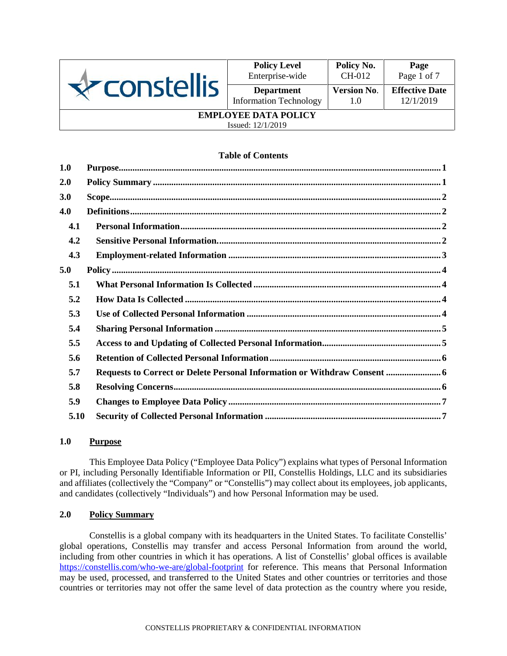

| <b>Policy Level</b>           | Policy No.         | Page                  |
|-------------------------------|--------------------|-----------------------|
| Enterprise-wide               | CH-012             | Page 1 of 7           |
| <b>Department</b>             | <b>Version No.</b> | <b>Effective Date</b> |
| <b>Information Technology</b> | 1.0                | 12/1/2019             |
| <b>EMPLOYEE DATA POLICY</b>   |                    |                       |

Issued: 12/1/2019

## **Table of Contents**

| 1.0  |                                                                                                                                                                                                                                                                                                                                                                                          |
|------|------------------------------------------------------------------------------------------------------------------------------------------------------------------------------------------------------------------------------------------------------------------------------------------------------------------------------------------------------------------------------------------|
| 2.0  |                                                                                                                                                                                                                                                                                                                                                                                          |
| 3.0  | $\textbf{Scope} \textbf{.} \textbf{} \textbf{} \textbf{} \textbf{} \textbf{} \textbf{} \textbf{} \textbf{} \textbf{} \textbf{} \textbf{} \textbf{} \textbf{} \textbf{} \textbf{} \textbf{} \textbf{} \textbf{} \textbf{} \textbf{} \textbf{} \textbf{} \textbf{} \textbf{} \textbf{} \textbf{} \textbf{} \textbf{} \textbf{} \textbf{} \textbf{} \textbf{} \textbf{} \textbf{} \textbf{$ |
| 4.0  |                                                                                                                                                                                                                                                                                                                                                                                          |
| 4.1  |                                                                                                                                                                                                                                                                                                                                                                                          |
| 4.2  |                                                                                                                                                                                                                                                                                                                                                                                          |
| 4.3  |                                                                                                                                                                                                                                                                                                                                                                                          |
| 5.0  |                                                                                                                                                                                                                                                                                                                                                                                          |
| 5.1  |                                                                                                                                                                                                                                                                                                                                                                                          |
| 5.2  |                                                                                                                                                                                                                                                                                                                                                                                          |
| 5.3  |                                                                                                                                                                                                                                                                                                                                                                                          |
| 5.4  |                                                                                                                                                                                                                                                                                                                                                                                          |
| 5.5  |                                                                                                                                                                                                                                                                                                                                                                                          |
| 5.6  |                                                                                                                                                                                                                                                                                                                                                                                          |
| 5.7  | Requests to Correct or Delete Personal Information or Withdraw Consent  6                                                                                                                                                                                                                                                                                                                |
| 5.8  |                                                                                                                                                                                                                                                                                                                                                                                          |
| 5.9  |                                                                                                                                                                                                                                                                                                                                                                                          |
| 5.10 |                                                                                                                                                                                                                                                                                                                                                                                          |

## **1.0 Purpose**

This Employee Data Policy ("Employee Data Policy") explains what types of Personal Information or PI, including Personally Identifiable Information or PII, Constellis Holdings, LLC and its subsidiaries and affiliates (collectively the "Company" or "Constellis") may collect about its employees, job applicants, and candidates (collectively "Individuals") and how Personal Information may be used.

## **2.0 Policy Summary**

Constellis is a global company with its headquarters in the United States. To facilitate Constellis' global operations, Constellis may transfer and access Personal Information from around the world, including from other countries in which it has operations. A list of Constellis' global offices is available https://constellis.com/who-we-are/global-footprint for reference. This means that Personal Information may be used, processed, and transferred to the United States and other countries or territories and those countries or territories may not offer the same level of data protection as the country where you reside,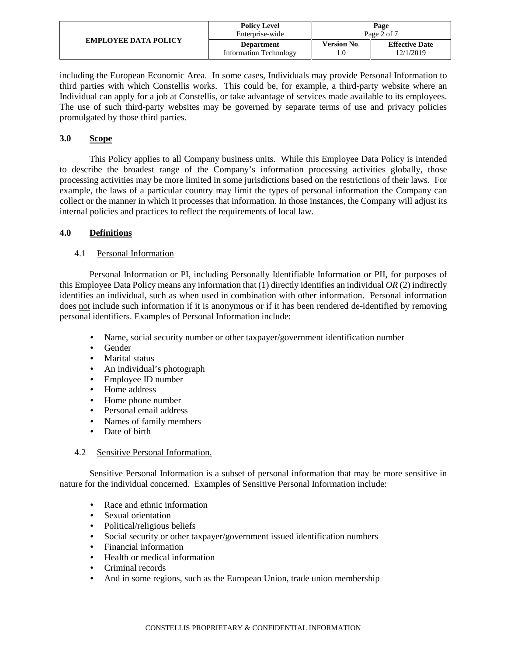| <b>EMPLOYEE DATA POLICY</b> | <b>Policy Level</b>    |                    | Page                  |
|-----------------------------|------------------------|--------------------|-----------------------|
|                             | Enterprise-wide        | Page 2 of 7        |                       |
|                             | <b>Department</b>      | <b>Version No.</b> | <b>Effective Date</b> |
|                             | Information Technology |                    | 12/1/2019             |

including the European Economic Area. In some cases, Individuals may provide Personal Information to third parties with which Constellis works. This could be, for example, a third-party website where an Individual can apply for a job at Constellis, or take advantage of services made available to its employees. The use of such third-party websites may be governed by separate terms of use and privacy policies promulgated by those third parties.

## **3.0 Scope**

This Policy applies to all Company business units. While this Employee Data Policy is intended to describe the broadest range of the Company's information processing activities globally, those processing activities may be more limited in some jurisdictions based on the restrictions of their laws. For example, the laws of a particular country may limit the types of personal information the Company can collect or the manner in which it processes that information. In those instances, the Company will adjust its internal policies and practices to reflect the requirements of local law.

## **4.0 Definitions**

## 4.1 Personal Information

Personal Information or PI, including Personally Identifiable Information or PII, for purposes of this Employee Data Policy means any information that (1) directly identifies an individual *OR* (2) indirectly identifies an individual, such as when used in combination with other information. Personal information does not include such information if it is anonymous or if it has been rendered de-identified by removing personal identifiers. Examples of Personal Information include:

- Name, social security number or other taxpayer/government identification number
- Gender
- Marital status
- An individual's photograph
- Employee ID number
- Home address
- Home phone number
- Personal email address
- Names of family members
- Date of birth

## 4.2 Sensitive Personal Information.

Sensitive Personal Information is a subset of personal information that may be more sensitive in nature for the individual concerned. Examples of Sensitive Personal Information include:

- Race and ethnic information
- Sexual orientation
- Political/religious beliefs
- Social security or other taxpayer/government issued identification numbers
- Financial information
- Health or medical information
- Criminal records
- And in some regions, such as the European Union, trade union membership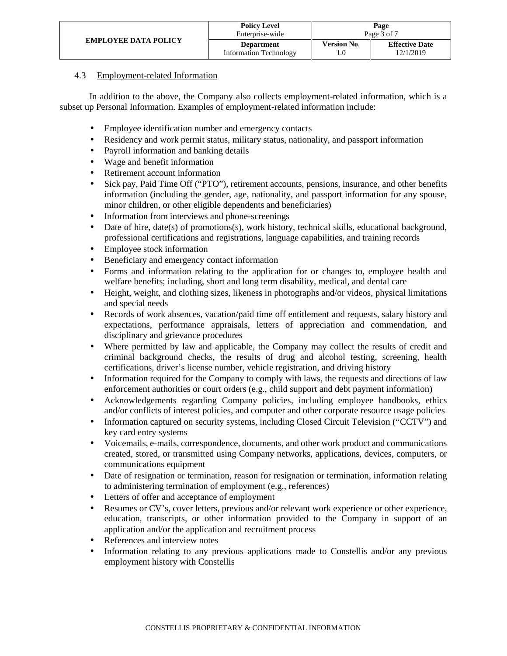|                             | <b>Policy Level</b>           | Page               |                       |  |
|-----------------------------|-------------------------------|--------------------|-----------------------|--|
| <b>EMPLOYEE DATA POLICY</b> | Enterprise-wide               | Page 3 of 7        |                       |  |
|                             | <b>Department</b>             | <b>Version No.</b> | <b>Effective Date</b> |  |
|                             | <b>Information Technology</b> |                    | 12/1/2019             |  |

## 4.3 Employment-related Information

In addition to the above, the Company also collects employment-related information, which is a subset up Personal Information. Examples of employment-related information include:

- Employee identification number and emergency contacts
- Residency and work permit status, military status, nationality, and passport information
- Payroll information and banking details
- Wage and benefit information
- Retirement account information
- Sick pay, Paid Time Off ("PTO"), retirement accounts, pensions, insurance, and other benefits information (including the gender, age, nationality, and passport information for any spouse, minor children, or other eligible dependents and beneficiaries)
- Information from interviews and phone-screenings
- Date of hire, date(s) of promotions(s), work history, technical skills, educational background, professional certifications and registrations, language capabilities, and training records
- Employee stock information
- Beneficiary and emergency contact information
- Forms and information relating to the application for or changes to, employee health and welfare benefits; including, short and long term disability, medical, and dental care
- Height, weight, and clothing sizes, likeness in photographs and/or videos, physical limitations and special needs
- Records of work absences, vacation/paid time off entitlement and requests, salary history and expectations, performance appraisals, letters of appreciation and commendation, and disciplinary and grievance procedures
- Where permitted by law and applicable, the Company may collect the results of credit and criminal background checks, the results of drug and alcohol testing, screening, health certifications, driver's license number, vehicle registration, and driving history
- Information required for the Company to comply with laws, the requests and directions of law enforcement authorities or court orders (e.g., child support and debt payment information)
- Acknowledgements regarding Company policies, including employee handbooks, ethics and/or conflicts of interest policies, and computer and other corporate resource usage policies
- Information captured on security systems, including Closed Circuit Television ("CCTV") and key card entry systems
- Voicemails, e-mails, correspondence, documents, and other work product and communications created, stored, or transmitted using Company networks, applications, devices, computers, or communications equipment
- Date of resignation or termination, reason for resignation or termination, information relating to administering termination of employment (e.g., references)
- Letters of offer and acceptance of employment
- Resumes or CV's, cover letters, previous and/or relevant work experience or other experience, education, transcripts, or other information provided to the Company in support of an application and/or the application and recruitment process
- References and interview notes
- Information relating to any previous applications made to Constellis and/or any previous employment history with Constellis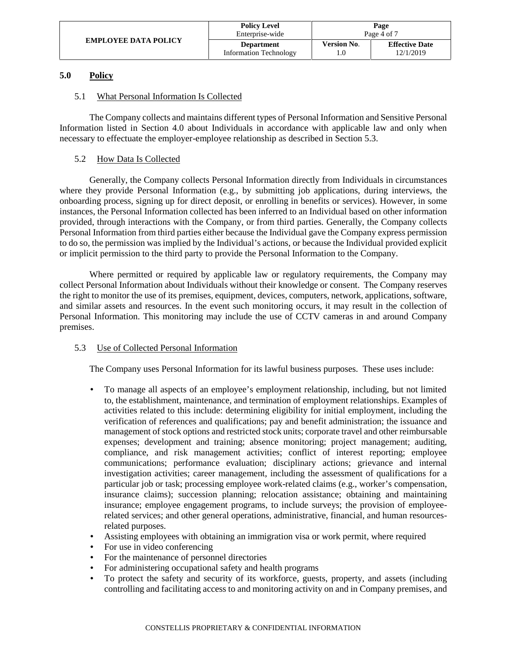|                             | <b>Policy Level</b>           | Page               |                       |  |
|-----------------------------|-------------------------------|--------------------|-----------------------|--|
| <b>EMPLOYEE DATA POLICY</b> | Enterprise-wide               | Page 4 of 7        |                       |  |
|                             | <b>Department</b>             | <b>Version No.</b> | <b>Effective Date</b> |  |
|                             | <b>Information Technology</b> |                    | 12/1/2019             |  |

## **5.0 Policy**

## 5.1 What Personal Information Is Collected

The Company collects and maintains different types of Personal Information and Sensitive Personal Information listed in Section 4.0 about Individuals in accordance with applicable law and only when necessary to effectuate the employer-employee relationship as described in Section 5.3.

## 5.2 How Data Is Collected

Generally, the Company collects Personal Information directly from Individuals in circumstances where they provide Personal Information (e.g., by submitting job applications, during interviews, the onboarding process, signing up for direct deposit, or enrolling in benefits or services). However, in some instances, the Personal Information collected has been inferred to an Individual based on other information provided, through interactions with the Company, or from third parties. Generally, the Company collects Personal Information from third parties either because the Individual gave the Company express permission to do so, the permission was implied by the Individual's actions, or because the Individual provided explicit or implicit permission to the third party to provide the Personal Information to the Company.

Where permitted or required by applicable law or regulatory requirements, the Company may collect Personal Information about Individuals without their knowledge or consent. The Company reserves the right to monitor the use of its premises, equipment, devices, computers, network, applications, software, and similar assets and resources. In the event such monitoring occurs, it may result in the collection of Personal Information. This monitoring may include the use of CCTV cameras in and around Company premises.

# 5.3 Use of Collected Personal Information

The Company uses Personal Information for its lawful business purposes. These uses include:

- To manage all aspects of an employee's employment relationship, including, but not limited to, the establishment, maintenance, and termination of employment relationships. Examples of activities related to this include: determining eligibility for initial employment, including the verification of references and qualifications; pay and benefit administration; the issuance and management of stock options and restricted stock units; corporate travel and other reimbursable expenses; development and training; absence monitoring; project management; auditing, compliance, and risk management activities; conflict of interest reporting; employee communications; performance evaluation; disciplinary actions; grievance and internal investigation activities; career management, including the assessment of qualifications for a particular job or task; processing employee work-related claims (e.g., worker's compensation, insurance claims); succession planning; relocation assistance; obtaining and maintaining insurance; employee engagement programs, to include surveys; the provision of employeerelated services; and other general operations, administrative, financial, and human resourcesrelated purposes.
- Assisting employees with obtaining an immigration visa or work permit, where required
- For use in video conferencing
- For the maintenance of personnel directories
- For administering occupational safety and health programs
- To protect the safety and security of its workforce, guests, property, and assets (including controlling and facilitating access to and monitoring activity on and in Company premises, and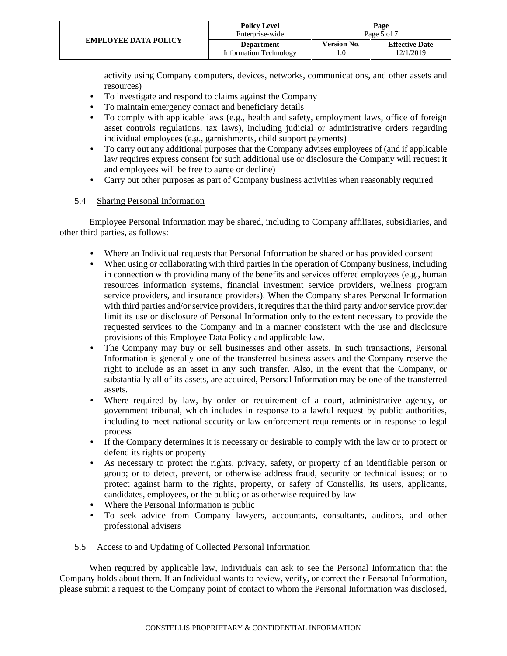|                             | <b>Policy Level</b><br>Enterprise-wide             | Page<br>Page 5 of 7 |                                    |  |
|-----------------------------|----------------------------------------------------|---------------------|------------------------------------|--|
| <b>EMPLOYEE DATA POLICY</b> | <b>Department</b><br><b>Information Technology</b> | <b>Version No.</b>  | <b>Effective Date</b><br>12/1/2019 |  |

activity using Company computers, devices, networks, communications, and other assets and resources)

- To investigate and respond to claims against the Company
- To maintain emergency contact and beneficiary details
- To comply with applicable laws (e.g., health and safety, employment laws, office of foreign asset controls regulations, tax laws), including judicial or administrative orders regarding individual employees (e.g., garnishments, child support payments)
- To carry out any additional purposes that the Company advises employees of (and if applicable law requires express consent for such additional use or disclosure the Company will request it and employees will be free to agree or decline)
- Carry out other purposes as part of Company business activities when reasonably required

## 5.4 Sharing Personal Information

Employee Personal Information may be shared, including to Company affiliates, subsidiaries, and other third parties, as follows:

- Where an Individual requests that Personal Information be shared or has provided consent
- When using or collaborating with third parties in the operation of Company business, including in connection with providing many of the benefits and services offered employees (e.g., human resources information systems, financial investment service providers, wellness program service providers, and insurance providers). When the Company shares Personal Information with third parties and/or service providers, it requires that the third party and/or service provider limit its use or disclosure of Personal Information only to the extent necessary to provide the requested services to the Company and in a manner consistent with the use and disclosure provisions of this Employee Data Policy and applicable law.
- The Company may buy or sell businesses and other assets. In such transactions, Personal Information is generally one of the transferred business assets and the Company reserve the right to include as an asset in any such transfer. Also, in the event that the Company, or substantially all of its assets, are acquired, Personal Information may be one of the transferred assets.
- Where required by law, by order or requirement of a court, administrative agency, or government tribunal, which includes in response to a lawful request by public authorities, including to meet national security or law enforcement requirements or in response to legal process
- If the Company determines it is necessary or desirable to comply with the law or to protect or defend its rights or property
- As necessary to protect the rights, privacy, safety, or property of an identifiable person or group; or to detect, prevent, or otherwise address fraud, security or technical issues; or to protect against harm to the rights, property, or safety of Constellis, its users, applicants, candidates, employees, or the public; or as otherwise required by law
- Where the Personal Information is public<br>
<u>To seek</u> advice from Company lawve
- To seek advice from Company lawyers, accountants, consultants, auditors, and other professional advisers

## 5.5 Access to and Updating of Collected Personal Information

When required by applicable law, Individuals can ask to see the Personal Information that the Company holds about them. If an Individual wants to review, verify, or correct their Personal Information, please submit a request to the Company point of contact to whom the Personal Information was disclosed,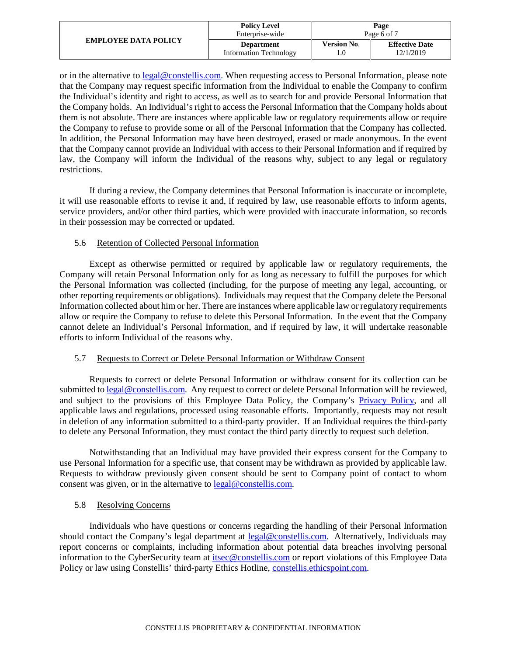| <b>EMPLOYEE DATA POLICY</b> | <b>Policy Level</b>           |                    | Page                  |
|-----------------------------|-------------------------------|--------------------|-----------------------|
|                             | Enterprise-wide               | Page 6 of 7        |                       |
|                             | <b>Department</b>             | <b>Version No.</b> | <b>Effective Date</b> |
|                             | <b>Information Technology</b> |                    | 12/1/2019             |

or in the alternative to legal@constellis.com. When requesting access to Personal Information, please note that the Company may request specific information from the Individual to enable the Company to confirm the Individual's identity and right to access, as well as to search for and provide Personal Information that the Company holds. An Individual's right to access the Personal Information that the Company holds about them is not absolute. There are instances where applicable law or regulatory requirements allow or require the Company to refuse to provide some or all of the Personal Information that the Company has collected. In addition, the Personal Information may have been destroyed, erased or made anonymous. In the event that the Company cannot provide an Individual with access to their Personal Information and if required by law, the Company will inform the Individual of the reasons why, subject to any legal or regulatory restrictions.

If during a review, the Company determines that Personal Information is inaccurate or incomplete, it will use reasonable efforts to revise it and, if required by law, use reasonable efforts to inform agents, service providers, and/or other third parties, which were provided with inaccurate information, so records in their possession may be corrected or updated.

## 5.6 Retention of Collected Personal Information

Except as otherwise permitted or required by applicable law or regulatory requirements, the Company will retain Personal Information only for as long as necessary to fulfill the purposes for which the Personal Information was collected (including, for the purpose of meeting any legal, accounting, or other reporting requirements or obligations). Individuals may request that the Company delete the Personal Information collected about him or her. There are instances where applicable law or regulatory requirements allow or require the Company to refuse to delete this Personal Information. In the event that the Company cannot delete an Individual's Personal Information, and if required by law, it will undertake reasonable efforts to inform Individual of the reasons why.

## 5.7 Requests to Correct or Delete Personal Information or Withdraw Consent

Requests to correct or delete Personal Information or withdraw consent for its collection can be submitted to legal@constellis.com. Any request to correct or delete Personal Information will be reviewed, and subject to the provisions of this Employee Data Policy, the Company's Privacy Policy, and all applicable laws and regulations, processed using reasonable efforts. Importantly, requests may not result in deletion of any information submitted to a third-party provider. If an Individual requires the third-party to delete any Personal Information, they must contact the third party directly to request such deletion.

Notwithstanding that an Individual may have provided their express consent for the Company to use Personal Information for a specific use, that consent may be withdrawn as provided by applicable law. Requests to withdraw previously given consent should be sent to Company point of contact to whom consent was given, or in the alternative to legal@constellis.com.

# 5.8 Resolving Concerns

Individuals who have questions or concerns regarding the handling of their Personal Information should contact the Company's legal department at legal@constellis.com. Alternatively, Individuals may report concerns or complaints, including information about potential data breaches involving personal information to the CyberSecurity team at itsec@constellis.com or report violations of this Employee Data Policy or law using Constellis' third-party Ethics Hotline, constellis.ethicspoint.com.